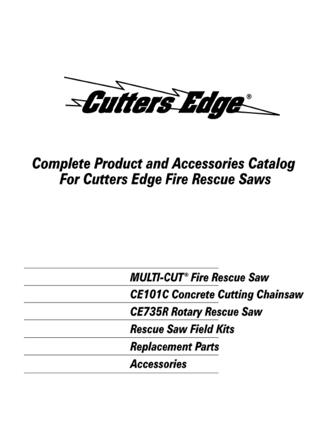-Cuiters Edge

# **Complete Product and Accessories Catalog For Cutters Edge Fire Rescue Saws**

| <b>MULTI-CUT<sup>®</sup> Fire Rescue Saw</b> |
|----------------------------------------------|
| <b>CE101C Concrete Cutting Chainsaw</b>      |
| <b>CE735R Rotary Rescue Saw</b>              |
| <i><b>Rescue Saw Field Kits</b></i>          |
| <b>Replacement Parts</b>                     |
| <b>Accessories</b>                           |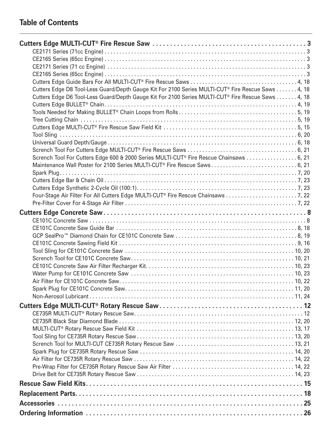# **Table of Contents**

| Cutters Edge D8 Tool-Less Guard/Depth Gauge Kit For 2100 Series MULTI-CUT® Fire Rescue Saws 4, 18 |
|---------------------------------------------------------------------------------------------------|
| Cutters Edge D6 Tool-Less Guard/Depth Gauge Kit For 2100 Series MULTI-CUT® Fire Rescue Saws 4, 18 |
|                                                                                                   |
|                                                                                                   |
|                                                                                                   |
|                                                                                                   |
|                                                                                                   |
|                                                                                                   |
|                                                                                                   |
| Scrench Tool For Cutters Edge 600 & 2000 Series MULTI-CUT® Fire Rescue Chainsaws  6, 21           |
| Maintenance Wall Poster for 2100 Series MULTI-CUT® Fire Rescue Saws 6, 21                         |
|                                                                                                   |
|                                                                                                   |
|                                                                                                   |
|                                                                                                   |
|                                                                                                   |
|                                                                                                   |
|                                                                                                   |
|                                                                                                   |
|                                                                                                   |
|                                                                                                   |
|                                                                                                   |
|                                                                                                   |
|                                                                                                   |
|                                                                                                   |
|                                                                                                   |
|                                                                                                   |
|                                                                                                   |
|                                                                                                   |
|                                                                                                   |
|                                                                                                   |
|                                                                                                   |
|                                                                                                   |
|                                                                                                   |
|                                                                                                   |
|                                                                                                   |
|                                                                                                   |
|                                                                                                   |
|                                                                                                   |
|                                                                                                   |
|                                                                                                   |
|                                                                                                   |
|                                                                                                   |
|                                                                                                   |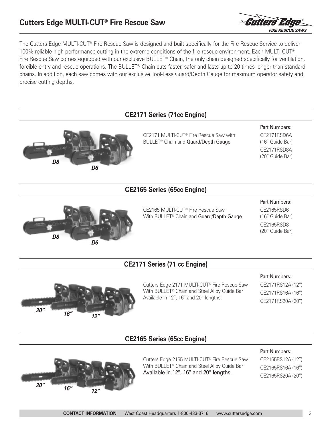# **Cutters Edge MULTI-CUT® Fire Rescue Saw**



The Cutters Edge MULTI-CUT® Fire Rescue Saw is designed and built specifically for the Fire Rescue Service to deliver 100% reliable high performance cutting in the extreme conditions of the fire rescue environment. Each MULTI-CUT® Fire Rescue Saw comes equipped with our exclusive BULLET<sup>®</sup> Chain, the only chain designed specifically for ventilation, forcible entry and rescue operations. The BULLET® Chain cuts faster, safer and lasts up to 20 times longer than standard chains. In addition, each saw comes with our exclusive Tool-Less Guard/Depth Gauge for maximum operator safety and precise cutting depths.





Cutters Edge 2165 MULTI-CUT® Fire Rescue Saw With BULLET® Chain and Steel Alloy Guide Bar Available in 12", 16" and 20" lengths.

CE2165RS12A (12") CE2165RS16A (16") CE2165RS20A (20")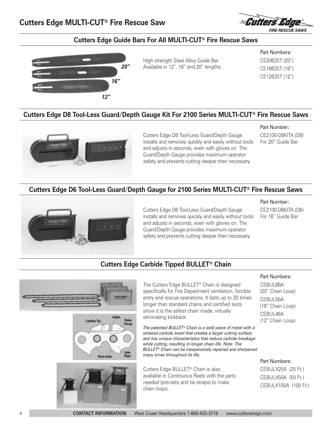

# **Cutters Edge Guide Bars For All MULTI-CUT® Fire Rescue Saws**



High strength Steel Alloy Guide Bar Available in 12", 16" and 20" lengths.

Part Numbers: CE2063ST (20") CE1663ST (16") CE1263ST (12")

#### **Cutters Edge D8 Tool-Less Guard/Depth Gauge Kit For 2100 Series MULTI-CUT® Fire Rescue Saws**



Cutters Edge D8 Tool-Less Guard/Depth Gauge installs and removes quickly and easily without tools and adjusts in seconds, even with gloves on. The Guard/Depth Gauge provides maximum operator safety and prevents cutting deeper than necessary.

#### Part Number:

CE2100-D8KITA (D8) For 20" Guide Bar

#### **Cutters Edge D6 Tool-Less Guard/Depth Gauge for 2100 Series MULTI-CUT® Fire Rescue Saws**



Cutters Edge D6 Tool-Less Guard/Depth Gauge installs and removes quickly and easily without tools and adjusts in seconds, even with gloves on. The Guard/Depth Gauge provides maximum operator safety and prevents cutting deeper than necessary.

Part Number:

CE2100-D6KITA (D6) For 16" Guide Bar

#### **Cutters Edge Carbide Tipped BULLET® Chain**

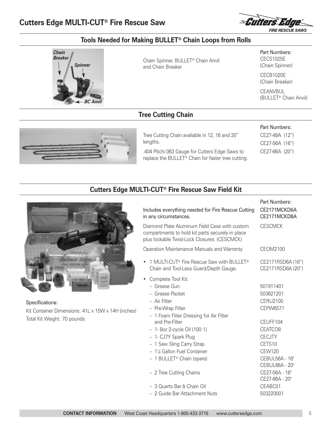

# **Tools Needed for Making BULLET® Chain Loops from Rolls**



Chain Spinner, BULLET® Chain Anvil and Chain Breaker

Part Numbers: CECS1025E (Chain Spinner)

CECB1020E (Chain Breaker)

Part Numbers: CE27-48A (12") CE27-56A (16") CE27-66A (20")

CEANVBUL (BULLET® Chain Anvil)

#### **Tree Cutting Chain**



Tree Cutting Chain available in 12, 16 and 20" lengths.

.404 Pitch/.063 Gauge for Cutters Edge Saws to replace the BULLET® Chain for faster tree cutting.

# **Cutters Edge MULTI-CUT® Fire Rescue Saw Field Kit**



Specifications: Kit Container Dimensions: 41L x 15W x 14H (inches) Total Kit Weight: 70 pounds

|                                                                                                                                                   | Part Numbers:                          |
|---------------------------------------------------------------------------------------------------------------------------------------------------|----------------------------------------|
| Includes everything needed for Fire Rescue Cutting<br>in any circumstances.                                                                       | CE2171MCKD6A<br>CE2171MCKD8A           |
| Diamond Plate Aluminum Field Case with custom<br>compartments to hold kit parts securely in place<br>plus lockable Twist-Lock Closures. (CESCMCK) | <b>CESCMCK</b>                         |
| Operation Maintenance Manuals and Warranty                                                                                                        | CEOM2100                               |
| 1 MULTI-CUT® Fire Rescue Saw with BULLET®<br>Chain and Tool-Less Guard/Depth Gauge.                                                               | CE2171RSD6A (16")<br>CE2171RSD8A (20") |
| Complete Tool Kit:<br>- Grease Gun                                                                                                                | 501911401                              |
|                                                                                                                                                   |                                        |
| - Grease Packet                                                                                                                                   | 503621201                              |
| - Air Filter                                                                                                                                      | <b>CERU2100</b>                        |
| - Pre-Wrap Filter                                                                                                                                 | CEPW6571                               |
| - 1 Foam Filter Dressing for Air Filter                                                                                                           |                                        |
| and Pre-Filter                                                                                                                                    | CEUFF104                               |
| $-1$ - 8oz 2-cycle Oil (100:1)                                                                                                                    | CEATCO <sub>8</sub>                    |
| - 1- CJ7Y Spark Plug                                                                                                                              | <b>CECJTY</b>                          |
| - 1 Saw Sling Carry Strap                                                                                                                         | CETS10                                 |
| - 1¼ Gallon Fuel Container                                                                                                                        | <b>CEW120</b>                          |
| $-1$ BULLET <sup>®</sup> Chain (spare)                                                                                                            | CEBUL56A - 16"                         |
|                                                                                                                                                   | CEBUL66A - 20"                         |
| - 2 Tree Cutting Chains                                                                                                                           | CE27-56A - 16"                         |
|                                                                                                                                                   | CE27-66A - 20"                         |
| - 3 Quarts Bar & Chain Oil                                                                                                                        | CEABC01                                |
| - 2 Guide Bar Attachment Nuts                                                                                                                     | 503220001                              |
|                                                                                                                                                   |                                        |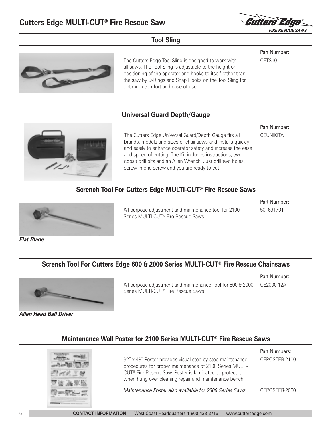

#### **Tool Sling**



The Cutters Edge Tool Sling is designed to work with all saws. The Tool Sling is adjustable to the height or positioning of the operator and hooks to itself rather than the saw by D-Rings and Snap Hooks on the Tool Sling for optimum comfort and ease of use.

#### Part Number: CETS10

#### **Universal Guard Depth/Gauge**



The Cutters Edge Universal Guard/Depth Gauge fits all brands, models and sizes of chainsaws and installs quickly and easily to enhance operator safety and increase the ease and speed of cutting. The Kit includes instructions, two cobalt drill bits and an Allen Wrench. Just drill two holes, screw in one screw and you are ready to cut.

Part Number: **CEUNIKITA** 

#### **Scrench Tool For Cutters Edge MULTI-CUT® Fire Rescue Saws**



All purpose adjustment and maintenance tool for 2100 Series MULTI-CUT® Fire Rescue Saws.

Part Number: 501691701

Part Number:

Part Numbers:

*Flat Blade*

#### **Scrench Tool For Cutters Edge 600 & 2000 Series MULTI-CUT® Fire Rescue Chainsaws**



All purpose adjustment and maintenance Tool for 600 & 2000 CE2000-12A Series MULTI-CUT® Fire Rescue Saws

*Allen Head Ball Driver*

#### **Maintenance Wall Poster for 2100 Series MULTI-CUT® Fire Rescue Saws**



32" x 48" Poster provides visual step-by-step maintenance procedures for proper maintenance of 2100 Series MULTI-CUT® Fire Rescue Saw. Poster is laminated to protect it when hung over cleaning repair and maintenance bench. *Maintenance Poster also available for 2000 Series Saws* CEPOSTER-2100 CEPOSTER-2000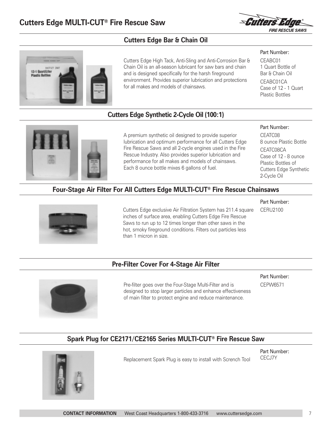

Part Number: CEABC01 1 Quart Bottle of Bar & Chain Oil CEABC01CA Case of 12 - 1 Quart Plastic Bottles

# **Cutters Edge Bar & Chain Oil**



Cutters Edge High Tack, Anti-Sling and Anti-Corrosion Bar & Chain Oil is an all-season lubricant for saw bars and chain and is designed specifically for the harsh fireground environment. Provides superior lubrication and protections for all makes and models of chainsaws.

# **Cutters Edge Synthetic 2-Cycle Oil (100:1)**



A premium synthetic oil designed to provide superior lubrication and optimum performance for all Cutters Edge Fire Rescue Saws and all 2-cycle engines used in the Fire Rescue Industry. Also provides superior lubrication and performance for all makes and models of chainsaws. Each 8 ounce bottle mixes 6 gallons of fuel.

#### Part Number:

Part Number: CERU2100

CEATC08 8 ounce Plastic Bottle CEATC08CA Case of 12 - 8 ounce Plastic Bottles of Cutters Edge Synthetic 2-Cycle Oil

#### **Four-Stage Air Filter For All Cutters Edge MULTI-CUT® Fire Rescue Chainsaws**



Cutters Edge exclusive Air Filtration System has 211.4 square inches of surface area, enabling Cutters Edge Fire Rescue Saws to run up to 12 times longer than other saws in the hot, smoky fireground conditions. Filters out particles less than 1 micron in size.

#### **Pre-Filter Cover For 4-Stage Air Filter**



Pre-filter goes over the Four-Stage Multi-Filter and is designed to stop larger particles and enhance effectiveness of main filter to protect engine and reduce maintenance.

Part Number: CEPW6571

# **Spark Plug for CE2171/CE2165 Series MULTI-CUT® Fire Rescue Saw**



Replacement Spark Plug is easy to install with Scrench Tool

Part Number: CECJ7Y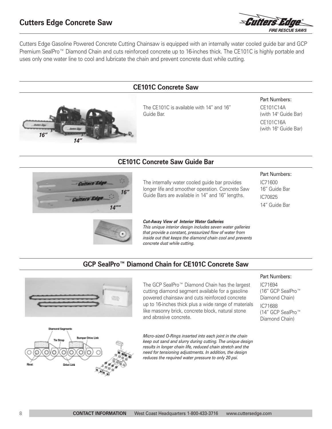*16"*



Cutters Edge Gasoline Powered Concrete Cutting Chainsaw is equipped with an internally water cooled guide bar and GCP Premium SealPro™ Diamond Chain and cuts reinforced concrete up to 16-inches thick. The CE101C is highly portable and uses only one water line to cool and lubricate the chain and prevent concrete dust while cutting.

# The CE101C is available with 14" and 16" Guide Bar. **CE101C Concrete Saw**

#### Part Numbers:

CE101C14A (with 14" Guide Bar) CE101C16A (with 16" Guide Bar)

# **CE101C Concrete Saw Guide Bar**



*14"*

The internally water cooled guide bar provides longer life and smoother operation. Concrete Saw Guide Bars are available in 14" and 16" lengths.

#### Part Numbers:

IC71600 16" Guide Bar IC70825 14" Guide Bar



#### *Cut-Away View of Interior Water Galleries*

*This unique interior design includes seven water galleries that provide a constant, pressurized flow of water from inside out that keeps the diamond chain cool and prevents concrete dust while cutting.*

# **GCP SealPro™ Diamond Chain for CE101C Concrete Saw**





The GCP SealPro™ Diamond Chain has the largest cutting diamond segment available for a gasoline powered chainsaw and cuts reinforced concrete up to 16-inches thick plus a wide range of materials like masonry brick, concrete block, natural stone and abrasive concrete.

*Micro-sized O-Rings inserted into each joint in the chain keep out sand and slurry during cutting. The unique design results in longer chain life, reduced chain stretch and the need for tensioning adjustments. In addition, the design reduces the required water pressure to only 20 psi.*

#### Part Numbers:

IC71694 (16" GCP SealPro™ Diamond Chain) IC71688 (14" GCP SealPro™ Diamond Chain)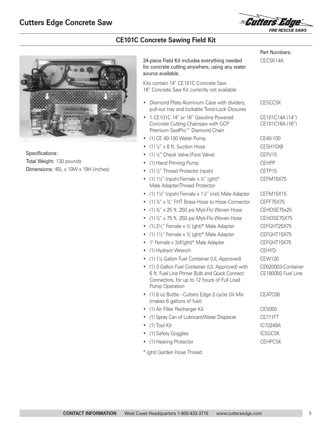

# **CE101C Concrete Sawing Field Kit**



Specifications: Total Weight: 130 pounds Dimensions: 45L x 19W x 19H (inches)

|                                                                                                                                                                  | Part Numbers:                            |
|------------------------------------------------------------------------------------------------------------------------------------------------------------------|------------------------------------------|
| 24-piece Field Kit includes everything needed<br>for concrete cutting anywhere, using any water<br>source available.                                             | CECSK14A                                 |
| Kits contain 14" CE101C Concrete Saw.<br>16" Concrete Saw Kit currently not available                                                                            |                                          |
| Diamond Plate Aluminum Case with dividers,<br>pull-out tray and lockable Twist-Lock Closures                                                                     | <b>CESCCSK</b>                           |
| 1 CE101C 14" or 16" Gasoline Powered<br>Concrete Cutting Chainsaw with GCP<br>Premium SealPro <sup>™</sup> Diamond Chain                                         | CE101C14A (14")<br>CE101C16A (16")       |
| (1) CE 40-100 Water Pump<br>٠                                                                                                                                    | CE40-100                                 |
| • (1) $\frac{1}{2}$ " x 8 ft. Suction Hose                                                                                                                       | CESH15X8                                 |
| (1) 1/2" Check Valve (Foot Valve)<br>$\bullet$                                                                                                                   | CEFV15                                   |
| (1) Hand Priming Pump<br>$\bullet$                                                                                                                               | <b>CEHPP</b>                             |
| $(1)$ $\frac{1}{2}$ " Thread Protector (npsh)<br>$\bullet$                                                                                                       | CFTP15                                   |
| (1) $1\frac{1}{2}$ " (npsh) Female x $\frac{3}{4}$ " (ght)*<br>Male Adapter/Thread Protector                                                                     | CEFM15X75                                |
| (1) $1\frac{1}{2}$ " (npsh) Female x $1\frac{1}{2}$ " (nst) Male Adapter<br>٠                                                                                    | CEFM15X15                                |
| $(1)$ 3/4" x 3/4" FHT Brass Hose to Hose Connector<br>$\bullet$                                                                                                  | CEFF75X75                                |
| $(1)$ %" x 25 ft. 250 psi Myti-Flo Woven Hose<br>$\bullet$                                                                                                       | CEHOSE75x25                              |
| $(1)$ 3/4" x 75 ft. 250 psi Myti-Flo Woven Hose<br>٠                                                                                                             | CEHOSE75X75                              |
| (1) $2\frac{1}{2}$ " Female x $\frac{3}{4}$ (ght)* Male Adapter<br>$\bullet$                                                                                     | CEFGHT25X75                              |
| (1) $1\frac{1}{2}$ " Female x $\frac{3}{4}$ (ght)* Male Adapter<br>٠                                                                                             | CEFGHT15X75                              |
| 1" Female x 3/4"(ght)* Male Adapter<br>٠                                                                                                                         | CEFGHT10X75                              |
| (1) Hydrant Wrench<br>٠                                                                                                                                          | <b>CEHYD</b>                             |
| (1) 11/4 Gallon Fuel Container (UL Approved)<br>$\bullet$                                                                                                        | <b>CEW120</b>                            |
| (1) 3 Gallon Fuel Container (UL Approved) with<br>6 ft. Fuel Line Primer Bulb and Quick Connect<br>Connectors, for up to 12 hours of Full Load<br>Pump Operation | CE620003-Container<br>CE180050 Fuel Line |
| (1) 8 oz Bottle - Cutters Edge 2-cycle Oil Mix<br>(makes 6 gallons of fuel)                                                                                      | CEATC08                                  |
| (1) Air Filter Recharger Kit                                                                                                                                     | CE5050                                   |
| (1) Spray Can of Lubricant/Water Displacer<br>٠                                                                                                                  | CE711FT                                  |
| (1) Tool Kit<br>٠                                                                                                                                                | IC73249A                                 |
| (1) Safety Goggles                                                                                                                                               | <b>ICSGCSK</b>                           |
| (1) Hearing Protector                                                                                                                                            | <b>CEHPCSK</b>                           |
|                                                                                                                                                                  |                                          |

\* (ght) Garden Hose Thread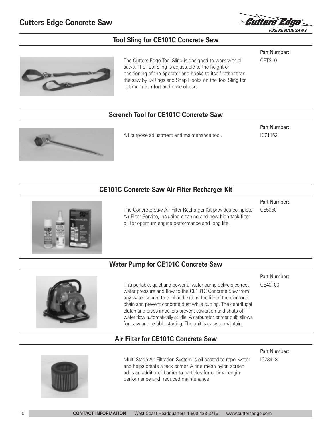

Part Number:

Part Number: IC71152

#### **Tool Sling for CE101C Concrete Saw**



The Cutters Edge Tool Sling is designed to work with all saws. The Tool Sling is adjustable to the height or positioning of the operator and hooks to itself rather than the saw by D-Rings and Snap Hooks on the Tool Sling for optimum comfort and ease of use.

# CETS10

#### **Scrench Tool for CE101C Concrete Saw**



All purpose adjustment and maintenance tool.

#### **CE101C Concrete Saw Air Filter Recharger Kit**





The Concrete Saw Air Filter Recharger Kit provides complete Air Filter Service, including cleaning and new high tack filter oil for optimum engine performance and long life.

CE5050

#### **Water Pump for CE101C Concrete Saw**



This portable, quiet and powerful water pump delivers correct water pressure and flow to the CE101C Concrete Saw from any water source to cool and extend the life of the diamond chain and prevent concrete dust while cutting. The centrifugal clutch and brass impellers prevent cavitation and shuts off water flow automatically at idle. A carburetor primer bulb allows for easy and reliable starting. The unit is easy to maintain.

#### **Air Filter for CE101C Concrete Saw**

Multi-Stage Air Filtration System is oil coated to repel water and helps create a tack barrier. A fine mesh nylon screen adds an additional barrier to particles for optimal engine performance and reduced maintenance.

Part Number: CE40100

Part Number:

IC73418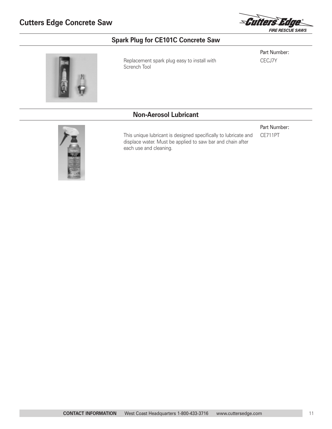

# **Spark Plug for CE101C Concrete Saw**

Replacement spark plug easy to install with Scrench Tool

Part Number: CECJ7Y

#### **Non-Aerosol Lubricant**

each use and cleaning.

This unique lubricant is designed specifically to lubricate and displace water. Must be applied to saw bar and chain after



Part Number:

CE711PT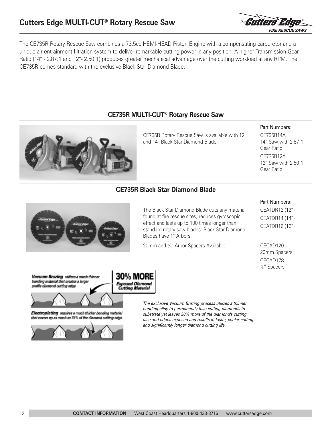

The CE735R Rotary Rescue Saw combines a 73.5cc HEMI-HEAD Piston Engine with a compensating carburetor and a unique air entrainment filtration system to deliver remarkable cutting power in any position. A higher Transmission Gear Ratio (14" - 2.87:1 and 12"- 2.50:1) produces greater mechanical advantage over the cutting workload at any RPM. The CE735R comes standard with the exclusive Black Star Diamond Blade.

#### **CE735R MULTI-CUT® Rotary Rescue Saw**



CE735R Rotary Rescue Saw is available with 12" and 14" Black Star Diamond Blade.

#### Part Numbers:

CE735R14A 14" Saw with 2.87:1 Gear Ratio CE735R12A 12" Saw with 2.50:1 Gear Ratio

#### **CE735R Black Star Diamond Blade**



The Black Star Diamond Blade cuts any material found at fire rescue sites, reduces gyroscopic effect and lasts up to 100 times longer than standard rotary saw blades. Black Star Diamond Blades have 1" Arbors.

20mm and <sup>7/8"</sup> Arbor Spacers Available.

#### Part Numbers:

CEATDR12 (12") CEATDR14 (14") CEATDR16 (16")

CECAD120 20mm Spacers CECAD178  $\frac{7}{8}$ " Spacers



Electroplating requires a much thicker bonding meterial that covers up as much as 75% of the diamond cutting edge.



*The exclusive Vacuum Brazing process utilizes a thinner bonding alloy to permanently fuse cutting diamonds to substrate yet leaves 30% more of the diamond's cutting face and edges exposed and results in faster, cooler cutting and significantly longer diamond cutting life.*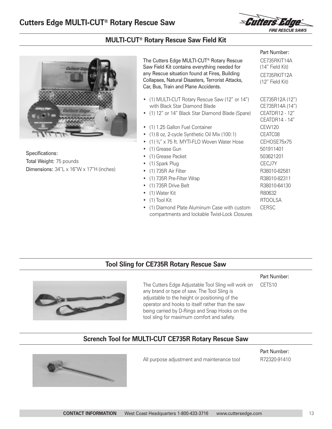

Part Number: CE735RKIT14A (14" Field Kit) CE735RKIT12A (12" Field Kit)

#### **MULTI-CUT® Rotary Rescue Saw Field Kit**



Specifications: Total Weight: 75 pounds Dimensions: 34"L x 16"W x 17"H (inches) The Cutters Edge MULTI-CUT® Rotary Rescue Saw Field Kit contains everything needed for any Rescue situation found at Fires, Building Collapses, Natural Disasters, Terrorist Attacks, Car, Bus, Train and Plane Accidents.

- (1) MULTI-CUT Rotary Rescue Saw (12" or 14") CE735R12A (12") with Black Star Diamond Blade CE735R14A (14")
- (1) 12" or 14" Black Star Diamond Blade (Spare) CEATDR12 12"
- (1) 1.25 Gallon Fuel Container CEW120
- (1) 8 oz, 2-cycle Synthetic Oil Mix (100:1) CEATC08
- (1)  $\frac{3}{4}$ " x 75 ft. MYTI-FLO Woven Water Hose CEHOSE75x75
- (1) Grease Gun 501911401
- (1) Grease Packet 503621201
- (1) Spark Plug CECJ7Y
- (1) 735R Air Filter R38010-82581
- (1) 735R Pre-Filter Wrap R38010-82311
- (1) 735R Drive Belt R38010-64130
- (1) Water Kit R80632
- (1) Tool Kit RTOOLSA
- (1) Diamond Plate Aluminum Case with custom CERSC compartments and lockable Twist-Lock Closures

CEATDR14 - 14"

#### **Tool Sling for CE735R Rotary Rescue Saw**



The Cutters Edge Adjustable Tool Sling will work on any brand or type of saw. The Tool Sling is adjustable to the height or positioning of the operator and hooks to itself rather than the saw being carried by D-Rings and Snap Hooks on the tool sling for maximum comfort and safety.

Part Number:

CETS10

**Scrench Tool for MULTI-CUT CE735R Rotary Rescue Saw**



All purpose adjustment and maintenance tool

Part Number: R72320-91410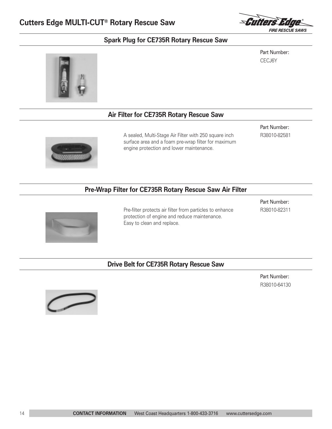

#### **Spark Plug for CE735R Rotary Rescue Saw**

Part Number: CECJ6Y



#### **Air Filter for CE735R Rotary Rescue Saw**



A sealed, Multi-Stage Air Filter with 250 square inch surface area and a foam pre-wrap filter for maximum engine protection and lower maintenance.

Part Number: R38010-82581

#### **Pre-Wrap Filter for CE735R Rotary Rescue Saw Air Filter**



Pre-filter protects air filter from particles to enhance protection of engine and reduce maintenance. Easy to clean and replace.

Part Number: R38010-82311

#### **Drive Belt for CE735R Rotary Rescue Saw**

Part Number: R38010-64130

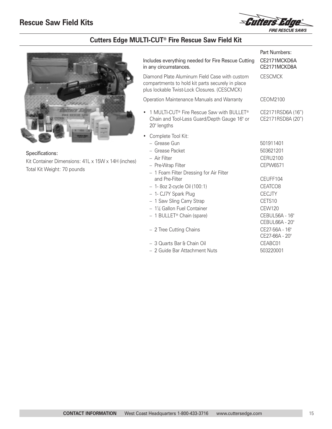

# **Cutters Edge MULTI-CUT® Fire Rescue Saw Field Kit**



Specifications: Kit Container Dimensions: 41L x 15W x 14H (inches) Total Kit Weight: 70 pounds

| Includes everything needed for Fire Rescue Cutting<br>in any circumstances.                                                                       | Part Numbers:<br>CE2171MCKD6A<br>CE2171MCKD8A              |
|---------------------------------------------------------------------------------------------------------------------------------------------------|------------------------------------------------------------|
| Diamond Plate Aluminum Field Case with custom<br>compartments to hold kit parts securely in place<br>plus lockable Twist-Lock Closures. (CESCMCK) | <b>CESCMCK</b>                                             |
| Operation Maintenance Manuals and Warranty                                                                                                        | CEOM2100                                                   |
| 1 MULTI-CUT® Fire Rescue Saw with BULLET®<br>Chain and Tool-Less Guard/Depth Gauge 16" or<br>20" lengths                                          | CE2171RSD6A (16")<br>CE2171RSD8A (20")                     |
| Complete Tool Kit:<br>- Grease Gun<br>- Grease Packet<br>- Air Filter<br>- Pre-Wrap Filter                                                        | 501911401<br>503621201<br><b>CERU2100</b><br>CEPW6571      |
| - 1 Foam Filter Dressing for Air Filter<br>and Pre-Filter<br>$-1$ - 8oz 2-cycle Oil (100:1)<br>- 1- CJ7Y Spark Plug<br>- 1 Saw Sling Carry Strap  | CEUFF104<br>CEATCO <sub>8</sub><br><b>CECJTY</b><br>CETS10 |
| - 1¼ Gallon Fuel Container<br>- 1 BULLET <sup>®</sup> Chain (spare)                                                                               | <b>CEW120</b><br>CEBUL56A - 16"<br>CEBUL66A - 20"          |
| - 2 Tree Cutting Chains                                                                                                                           | CE27-56A - 16"<br>CE27-66A - 20"                           |
| – 3 Quarts Bar & Chain Oil<br>- 2 Guide Bar Attachment Nuts                                                                                       | CEABC01<br>503220001                                       |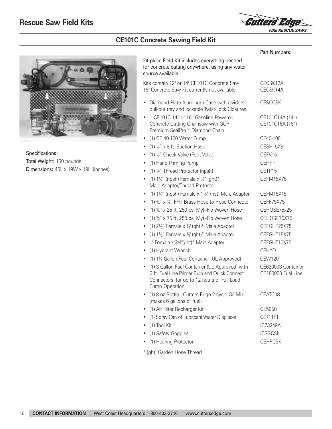

# **CE101C Concrete Sawing Field Kit**



Specifications: Total Weight: 130 pounds Dimensions: 45L x 19W x 19H (inches)

|                                                                                                                                                                    | Part Numbers:                            |
|--------------------------------------------------------------------------------------------------------------------------------------------------------------------|------------------------------------------|
| 24-piece Field Kit includes everything needed<br>for concrete cutting anywhere, using any water<br>source available.                                               |                                          |
| Kits contain 12" or 14" CE101C Concrete Saw<br>16" Concrete Saw Kit currently not available                                                                        | CECSK12A<br>CECSK14A                     |
| Diamond Plate Aluminum Case with dividers,<br>٠<br>pull-out tray and lockable Twist-Lock Closures                                                                  | <b>CESCCSK</b>                           |
| • 1 CE101C 14" or 16" Gasoline Powered<br>Concrete Cutting Chainsaw with GCP<br>Premium SealPro <sup>™</sup> Diamond Chain                                         | CE101C14A (14")<br>CE101C16A (16")       |
| • (1) CE 40-100 Water Pump                                                                                                                                         | CE40-100                                 |
| • (1) $\frac{1}{2}$ " x 8 ft. Suction Hose                                                                                                                         | CESH15X8                                 |
| • (1) $\frac{1}{2}$ " Check Valve (Foot Valve)                                                                                                                     | CEFV15                                   |
| • (1) Hand Priming Pump                                                                                                                                            | <b>CFHPP</b>                             |
| • (1) $\frac{1}{2}$ " Thread Protector (npsh)                                                                                                                      | CFTP15                                   |
| • (1) $1\frac{1}{2}$ " (npsh) Female x $\frac{3}{4}$ " (ght)*<br>Male Adapter/Thread Protector                                                                     | CEFM15X75                                |
| • (1) $1\frac{1}{2}$ " (npsh) Female x $1\frac{1}{2}$ " (nst) Male Adapter                                                                                         | CEFM15X15                                |
| • (1) $\frac{3}{4}$ " x $\frac{3}{4}$ " FHT Brass Hose to Hose Connector                                                                                           | CFFF75X75                                |
| • (1) $\frac{3}{4}$ " x 25 ft. 250 psi Myti-Flo Woven Hose                                                                                                         | CEHOSE75x25                              |
| • (1) $\frac{3}{4}$ " x 75 ft. 250 psi Myti-Flo Woven Hose                                                                                                         | CEHOSE75X75                              |
| $(1)$ 2 $\frac{1}{2}$ " Female x $\frac{3}{4}$ ' (ght)* Male Adapter<br>٠                                                                                          | CEFGHT25X75                              |
| • (1) $1\frac{1}{2}$ " Female x $\frac{3}{4}$ ' (ght)* Male Adapter                                                                                                | CEFGHT15X75                              |
| 1" Female x 3/4"(ght)* Male Adapter<br>٠                                                                                                                           | CEFGHT10X75                              |
| • (1) Hydrant Wrench                                                                                                                                               | <b>CEHYD</b>                             |
| • (1) 11/4 Gallon Fuel Container (UL Approved)                                                                                                                     | <b>CEW120</b>                            |
| • (1) 3 Gallon Fuel Container (UL Approved) with<br>6 ft. Fuel Line Primer Bulb and Quick Connect<br>Connectors, for up to 12 hours of Full Load<br>Pump Operation | CE620003-Container<br>CE180050 Fuel Line |
| (1) 8 oz Bottle - Cutters Edge 2-cycle Oil Mix<br>(makes 6 gallons of fuel)                                                                                        | CEATC08                                  |
| (1) Air Filter Recharger Kit                                                                                                                                       | CE5050                                   |
| (1) Spray Can of Lubricant/Water Displacer<br>٠                                                                                                                    | CE711FT                                  |
| (1) Tool Kit<br>٠                                                                                                                                                  | IC73249A                                 |
| (1) Safety Goggles                                                                                                                                                 | <b>ICSGCSK</b>                           |
| (1) Hearing Protector                                                                                                                                              | <b>CEHPCSK</b>                           |
|                                                                                                                                                                    |                                          |

\* (ght) Garden Hose Thread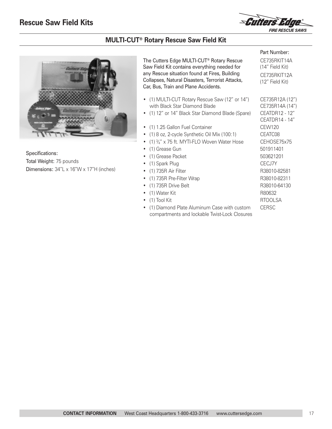

Part Number: CE735RKIT14A (14" Field Kit) CE735RKIT12A (12" Field Kit)

CEATDR14 - 14"

#### **MULTI-CUT® Rotary Rescue Saw Field Kit**



Specifications: Total Weight: 75 pounds Dimensions: 34"L x 16"W x 17"H (inches) The Cutters Edge MULTI-CUT® Rotary Rescue Saw Field Kit contains everything needed for any Rescue situation found at Fires, Building Collapses, Natural Disasters, Terrorist Attacks, Car, Bus, Train and Plane Accidents.

- (1) MULTI-CUT Rotary Rescue Saw (12" or 14") CE735R12A (12") with Black Star Diamond Blade CE735R14A (14")
- (1) 12" or 14" Black Star Diamond Blade (Spare) CEATDR12 12"
- (1) 1.25 Gallon Fuel Container CEW120
- (1) 8 oz, 2-cycle Synthetic Oil Mix (100:1) CEATC08
- (1)  $\frac{3}{4}$ " x 75 ft. MYTI-FLO Woven Water Hose CEHOSE75x75
- (1) Grease Gun 501911401
- (1) Grease Packet 503621201
- 
- 
- 
- 
- 
- 
- (1) Diamond Plate Aluminum Case with custom CERSC compartments and lockable Twist-Lock Closures

• (1) Spark Plug CECJ7Y • (1) 735R Air Filter R38010-82581 • (1) 735R Pre-Filter Wrap R38010-82311 • (1) 735R Drive Belt R38010-64130 • (1) Water Kit R80632 • (1) Tool Kit RTOOLSA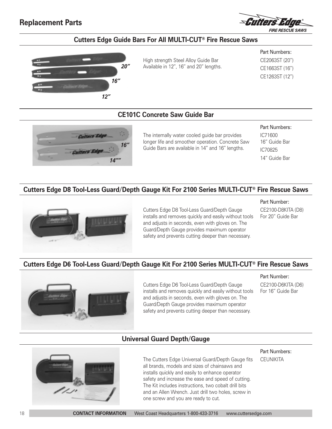# **Replacement Parts**



#### **Cutters Edge Guide Bars For All MULTI-CUT® Fire Rescue Saws**



High strength Steel Alloy Guide Bar Available in 12", 16" and 20" lengths.

Part Numbers: CE2063ST (20") CE1663ST (16") CE1263ST (12")

#### **CE101C Concrete Saw Guide Bar**



The internally water cooled guide bar provides longer life and smoother operation. Concrete Saw Guide Bars are available in 14" and 16" lengths.

#### Part Numbers:

IC71600 16" Guide Bar IC70825 14" Guide Bar

#### **Cutters Edge D8 Tool-Less Guard/Depth Gauge Kit For 2100 Series MULTI-CUT® Fire Rescue Saws**



Cutters Edge D8 Tool-Less Guard/Depth Gauge installs and removes quickly and easily without tools and adjusts in seconds, even with gloves on. The Guard/Depth Gauge provides maximum operator safety and prevents cutting deeper than necessary.

Part Number:

CE2100-D8KITA (D8) For 20" Guide Bar

# **Cutters Edge D6 Tool-Less Guard/Depth Gauge Kit For 2100 Series MULTI-CUT® Fire Rescue Saws**



Cutters Edge D6 Tool-Less Guard/Depth Gauge installs and removes quickly and easily without tools and adjusts in seconds, even with gloves on. The Guard/Depth Gauge provides maximum operator safety and prevents cutting deeper than necessary.

#### Part Number:

CE2100-D6KITA (D6) For 16" Guide Bar

#### **Universal Guard Depth/Gauge**



The Cutters Edge Universal Guard/Depth Gauge fits all brands, models and sizes of chainsaws and installs quickly and easily to enhance operator safety and increase the ease and speed of cutting. The Kit includes instructions, two cobalt drill bits and an Allen Wrench. Just drill two holes, screw in one screw and you are ready to cut.

#### Part Numbers: **CEUNIKITA**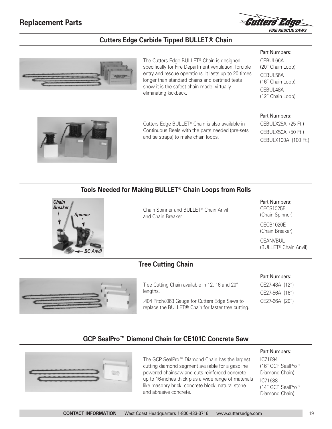

#### **Cutters Edge Carbide Tipped BULLET® Chain**



The Cutters Edge BULLET® Chain is designed specifically for Fire Department ventilation, forcible entry and rescue operations. It lasts up to 20 times longer than standard chains and certified tests show it is the safest chain made, virtually eliminating kickback.

Part Numbers: CEBUL66A (20" Chain Loop) CEBUL56A (16" Chain Loop) CEBUL48A (12" Chain Loop)



CEBULX25A (25 Ft.) CEBULX50A (50 Ft.) CEBULX100A (100 Ft.)



Cutters Edge BULLET® Chain is also available in Continuous Reels with the parts needed (pre-sets and tie straps) to make chain loops.

# **Tools Needed for Making BULLET® Chain Loops from Rolls**



Chain Spinner and BULLET® Chain Anvil and Chain Breaker

Part Numbers: CECS1025E (Chain Spinner)

CECB1020E (Chain Breaker)

CEANVBUL (BULLET® Chain Anvil)



**Tree Cutting Chain**

Tree Cutting Chain available in 12, 16 and 20" lengths.

.404 Pitch/.063 Gauge for Cutters Edge Saws to replace the BULLET® Chain for faster tree cutting. Part Numbers:

CE27-48A (12") CE27-56A (16")

CE27-66A (20")

### **GCP SealPro™ Diamond Chain for CE101C Concrete Saw**



The GCP SealPro™ Diamond Chain has the largest cutting diamond segment available for a gasoline powered chainsaw and cuts reinforced concrete up to 16-inches thick plus a wide range of materials like masonry brick, concrete block, natural stone and abrasive concrete.

#### Part Numbers:

IC71694 (16" GCP SealPro™ Diamond Chain) IC71688 (14" GCP SealPro™ Diamond Chain)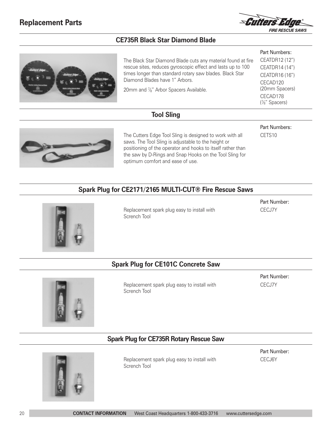

#### **CE735R Black Star Diamond Blade**



The Black Star Diamond Blade cuts any material found at fire rescue sites, reduces gyroscopic effect and lasts up to 100 times longer than standard rotary saw blades. Black Star Diamond Blades have 1" Arbors.

20mm and <sup>7/8"</sup> Arbor Spacers Available.

#### Part Numbers: CEATDR12 (12") CEATDR14 (14") CEATDR16 (16") CECAD120 (20mm Spacers) CECAD178 ( 7⁄8" Spacers)

Part Numbers: CETS10

#### **Tool Sling**



The Cutters Edge Tool Sling is designed to work with all saws. The Tool Sling is adjustable to the height or positioning of the operator and hooks to itself rather than the saw by D-Rings and Snap Hooks on the Tool Sling for optimum comfort and ease of use.

# **Spark Plug for CE2171/2165 MULTI-CUT® Fire Rescue Saws**



Replacement spark plug easy to install with Scrench Tool

Part Number: CECJ7Y

# **Spark Plug for CE101C Concrete Saw**



Replacement spark plug easy to install with Scrench Tool

Part Number: CECJ7Y

#### **Spark Plug for CE735R Rotary Rescue Saw**



Replacement spark plug easy to install with Scrench Tool

Part Number: CECJ6Y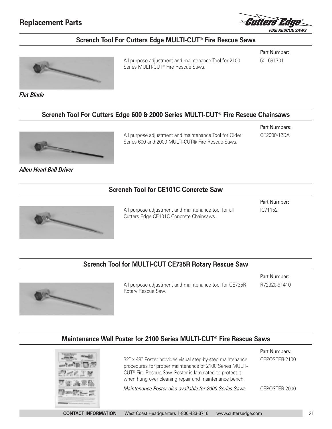# **Replacement Parts**



#### **Scrench Tool For Cutters Edge MULTI-CUT® Fire Rescue Saws**



All purpose adjustment and maintenance Tool for 2100 Series MULTI-CUT® Fire Rescue Saws.

Part Number: 501691701

*Flat Blade*

#### **Scrench Tool For Cutters Edge 600 & 2000 Series MULTI-CUT® Fire Rescue Chainsaws**



*Allen Head Ball Driver* 

All purpose adjustment and maintenance Tool for Older Series 600 and 2000 MULTI-CUT® Fire Rescue Saws.

Part Numbers: CE2000-12DA

#### **Scrench Tool for CE101C Concrete Saw**



All purpose adjustment and maintenance tool for all Cutters Edge CE101C Concrete Chainsaws.

Part Number: IC71152

#### **Scrench Tool for MULTI-CUT CE735R Rotary Rescue Saw**



All purpose adjustment and maintenance tool for CE735R Rotary Rescue Saw.

Part Number: R72320-91410

Part Numbers:

#### **Maintenance Wall Poster for 2100 Series MULTI-CUT® Fire Rescue Saws**



32" x 48" Poster provides visual step-by-step maintenance procedures for proper maintenance of 2100 Series MULTI-CUT® Fire Rescue Saw. Poster is laminated to protect it when hung over cleaning repair and maintenance bench. *Maintenance Poster also available for 2000 Series Saws* CEPOSTER-2100 CEPOSTER-2000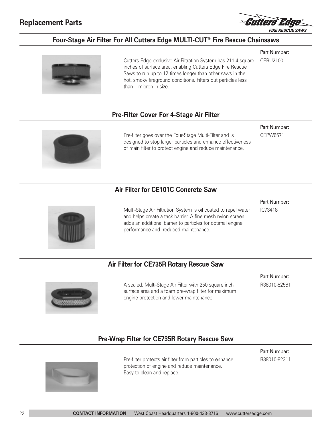

Part Number: CERU2100

### **Four-Stage Air Filter For All Cutters Edge MULTI-CUT® Fire Rescue Chainsaws**



Cutters Edge exclusive Air Filtration System has 211.4 square inches of surface area, enabling Cutters Edge Fire Rescue Saws to run up to 12 times longer than other saws in the hot, smoky fireground conditions. Filters out particles less than 1 micron in size.

#### **Pre-Filter Cover For 4-Stage Air Filter**



Pre-filter goes over the Four-Stage Multi-Filter and is designed to stop larger particles and enhance effectiveness of main filter to protect engine and reduce maintenance.

Part Number: CEPW6571

#### **Air Filter for CE101C Concrete Saw**



Multi-Stage Air Filtration System is oil coated to repel water and helps create a tack barrier. A fine mesh nylon screen adds an additional barrier to particles for optimal engine performance and reduced maintenance.

Part Number:

IC73418

#### **Air Filter for CE735R Rotary Rescue Saw**



A sealed, Multi-Stage Air Filter with 250 square inch surface area and a foam pre-wrap filter for maximum engine protection and lower maintenance.

Part Number: R38010-82581

#### **Pre-Wrap Filter for CE735R Rotary Rescue Saw**



Pre-filter protects air filter from particles to enhance protection of engine and reduce maintenance. Easy to clean and replace.

Part Number: R38010-82311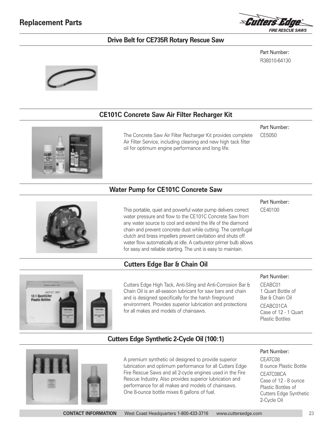

#### **Drive Belt for CE735R Rotary Rescue Saw**

Part Number: R38010-64130



#### **CE101C Concrete Saw Air Filter Recharger Kit**

#### Part Number:

The Concrete Saw Air Filter Recharger Kit provides complete Air Filter Service, including cleaning and new high tack filter oil for optimum engine performance and long life.

CE5050

#### **Water Pump for CE101C Concrete Saw**



This portable, quiet and powerful water pump delivers correct water pressure and flow to the CE101C Concrete Saw from any water source to cool and extend the life of the diamond chain and prevent concrete dust while cutting. The centrifugal clutch and brass impellers prevent cavitation and shuts off water flow automatically at idle. A carburetor primer bulb allows for easy and reliable starting. The unit is easy to maintain.

# **Cutters Edge Bar & Chain Oil**



Cutters Edge High Tack, Anti-Sling and Anti-Corrosion Bar & Chain Oil is an all-season lubricant for saw bars and chain and is designed specifically for the harsh fireground environment. Provides superior lubrication and protections for all makes and models of chainsaws.

#### Part Number:

CE40100

Part Number:

Part Number: CEATC08

CEATC08CA

2-Cycle Oil

8 ounce Plastic Bottle

Case of 12 - 8 ounce Plastic Bottles of Cutters Edge Synthetic

CEABC01 1 Quart Bottle of Bar & Chain Oil CEABC01CA Case of 12 - 1 Quart Plastic Bottles

#### **Cutters Edge Synthetic 2-Cycle Oil (100:1)**



A premium synthetic oil designed to provide superior lubrication and optimum performance for all Cutters Edge Fire Rescue Saws and all 2-cycle engines used in the Fire Rescue Industry. Also provides superior lubrication and performance for all makes and models of chainsaws. One 8-ounce bottle mixes 6 gallons of fuel.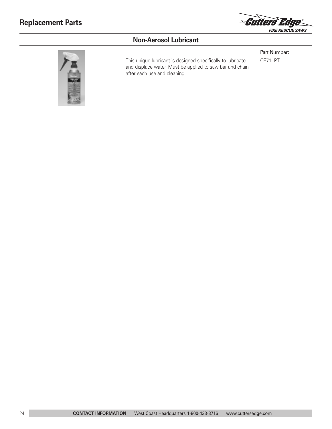

# **Non-Aerosol Lubricant**



This unique lubricant is designed specifically to lubricate CE711PT and displace water. Must be applied to saw bar and chain after each use and cleaning.

Part Number: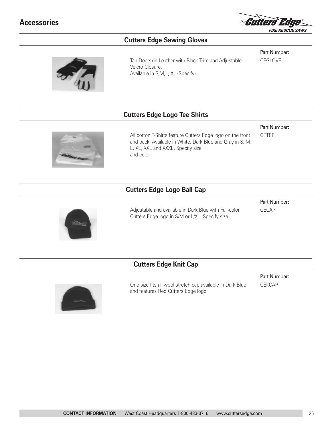

#### **Cutters Edge Sawing Gloves**

Tan Deerskin Leather with Black Trim and Adjustable Velcro Closure. Available in S,M,L, XL (Specify)

Part Number: **CEGLOVE** 

Part Number: CETEE

#### **Cutters Edge Logo Tee Shirts**



All cotton T-Shirts feature Cutters Edge logo on the front and back. Available in White, Dark Blue and Gray in S, M, L, XL, XXL and XXXL. Specify size and color.

# **Cutters Edge Logo Ball Cap**



Adjustable and available in Dark Blue with Full-color Cutters Edge logo in S/M or L/XL. Specify size.

Part Number: CECAP

#### **Cutters Edge Knit Cap**



One size fits all wool stretch cap available in Dark Blue and features Red Cutters Edge logo.

Part Number: CEKCAP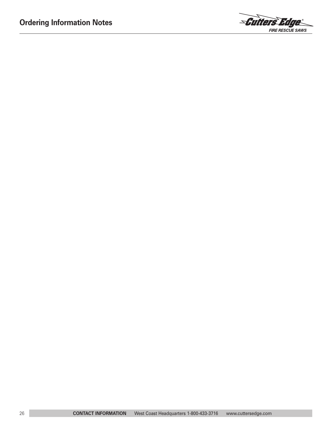